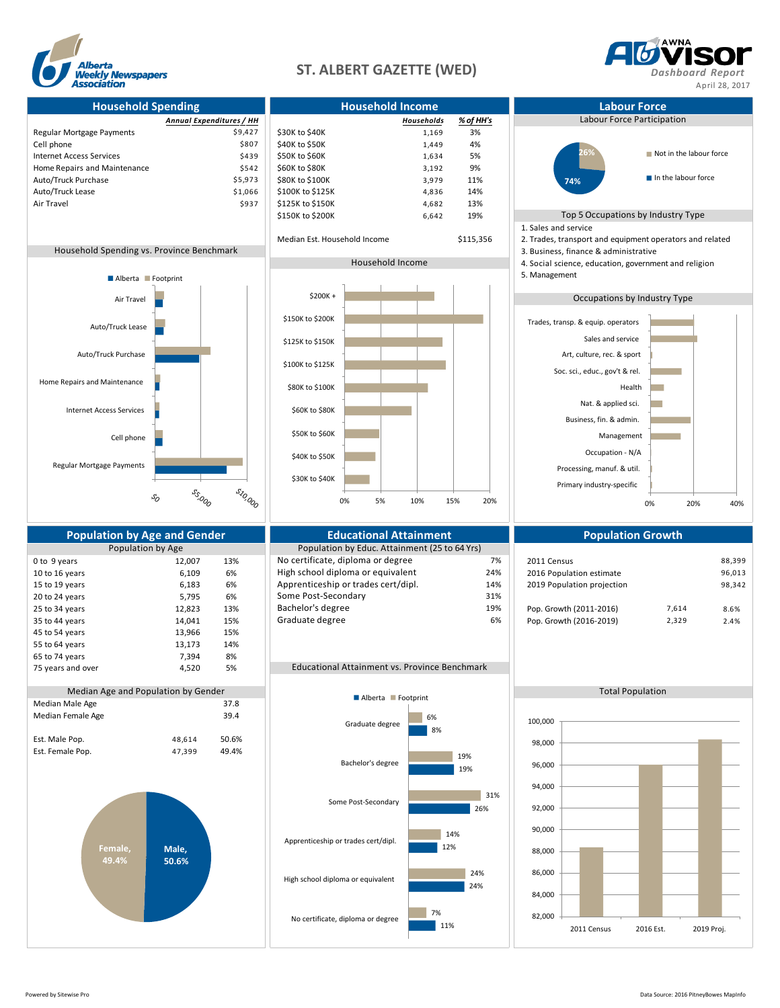

## **ST. ALBERT GAZETTE (WED)** *Dashboard Report*